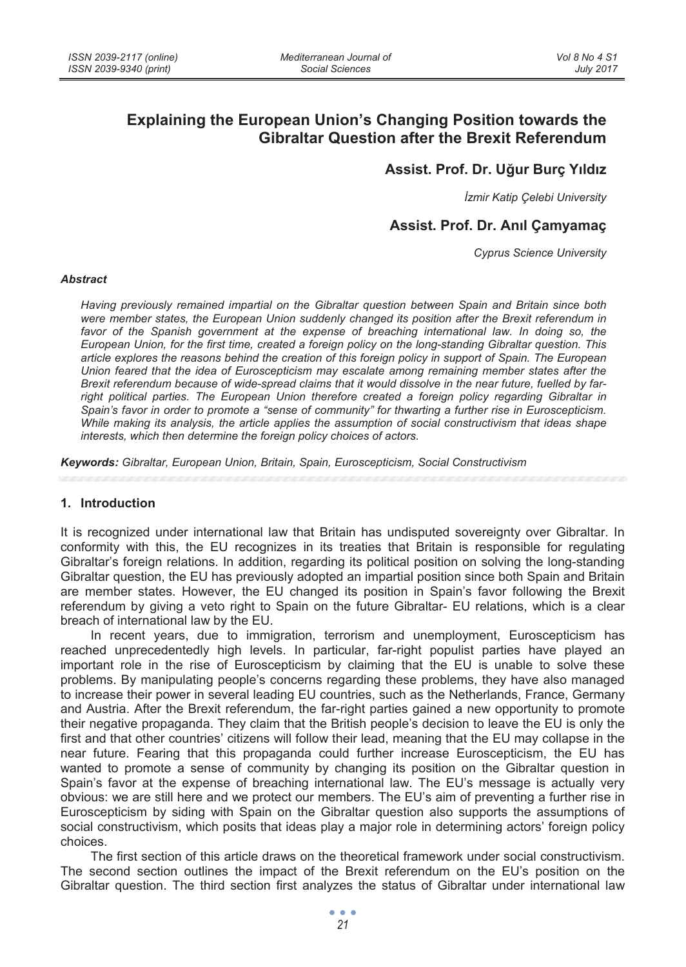# **Explaining the European Union's Changing Position towards the Gibraltar Question after the Brexit Referendum**

# **Assist. Prof. Dr. Uğur Burç Yıldız**

*øzmir Katip Çelebi University* 

## **Assist. Prof. Dr. Anil Camvamac**

*Cyprus Science University* 

#### *Abstract*

*Having previously remained impartial on the Gibraltar question between Spain and Britain since both were member states, the European Union suddenly changed its position after the Brexit referendum in*  favor of the Spanish government at the expense of breaching international law. In doing so, the *European Union, for the first time, created a foreign policy on the long-standing Gibraltar question. This article explores the reasons behind the creation of this foreign policy in support of Spain. The European Union feared that the idea of Euroscepticism may escalate among remaining member states after the Brexit referendum because of wide-spread claims that it would dissolve in the near future, fuelled by farright political parties. The European Union therefore created a foreign policy regarding Gibraltar in Spain's favor in order to promote a "sense of community" for thwarting a further rise in Euroscepticism. While making its analysis, the article applies the assumption of social constructivism that ideas shape interests, which then determine the foreign policy choices of actors.* 

*Keywords: Gibraltar, European Union, Britain, Spain, Euroscepticism, Social Constructivism* 

#### **1. Introduction**

It is recognized under international law that Britain has undisputed sovereignty over Gibraltar. In conformity with this, the EU recognizes in its treaties that Britain is responsible for regulating Gibraltar's foreign relations. In addition, regarding its political position on solving the long-standing Gibraltar question, the EU has previously adopted an impartial position since both Spain and Britain are member states. However, the EU changed its position in Spain's favor following the Brexit referendum by giving a veto right to Spain on the future Gibraltar- EU relations, which is a clear breach of international law by the EU.

In recent years, due to immigration, terrorism and unemployment, Euroscepticism has reached unprecedentedly high levels. In particular, far-right populist parties have played an important role in the rise of Euroscepticism by claiming that the EU is unable to solve these problems. By manipulating people's concerns regarding these problems, they have also managed to increase their power in several leading EU countries, such as the Netherlands, France, Germany and Austria. After the Brexit referendum, the far-right parties gained a new opportunity to promote their negative propaganda. They claim that the British people's decision to leave the EU is only the first and that other countries' citizens will follow their lead, meaning that the EU may collapse in the near future. Fearing that this propaganda could further increase Euroscepticism, the EU has wanted to promote a sense of community by changing its position on the Gibraltar question in Spain's favor at the expense of breaching international law. The EU's message is actually very obvious: we are still here and we protect our members. The EU's aim of preventing a further rise in Euroscepticism by siding with Spain on the Gibraltar question also supports the assumptions of social constructivism, which posits that ideas play a major role in determining actors' foreign policy choices.

The first section of this article draws on the theoretical framework under social constructivism. The second section outlines the impact of the Brexit referendum on the EU's position on the Gibraltar question. The third section first analyzes the status of Gibraltar under international law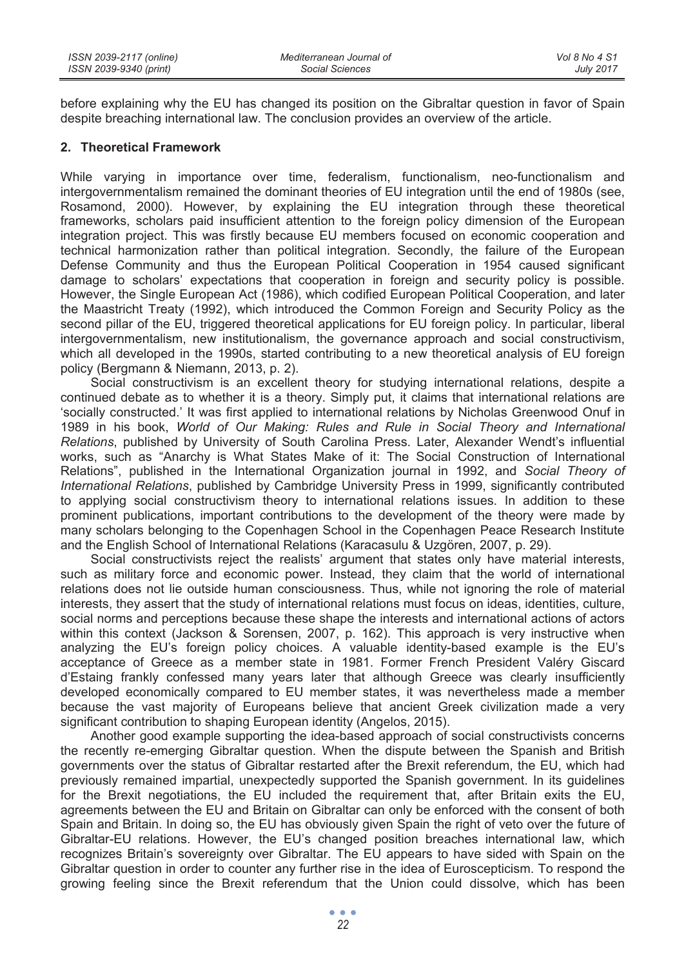before explaining why the EU has changed its position on the Gibraltar question in favor of Spain despite breaching international law. The conclusion provides an overview of the article.

#### **2. Theoretical Framework**

While varying in importance over time, federalism, functionalism, neo-functionalism and intergovernmentalism remained the dominant theories of EU integration until the end of 1980s (see, Rosamond, 2000). However, by explaining the EU integration through these theoretical frameworks, scholars paid insufficient attention to the foreign policy dimension of the European integration project. This was firstly because EU members focused on economic cooperation and technical harmonization rather than political integration. Secondly, the failure of the European Defense Community and thus the European Political Cooperation in 1954 caused significant damage to scholars' expectations that cooperation in foreign and security policy is possible. However, the Single European Act (1986), which codified European Political Cooperation, and later the Maastricht Treaty (1992), which introduced the Common Foreign and Security Policy as the second pillar of the EU, triggered theoretical applications for EU foreign policy. In particular, liberal intergovernmentalism, new institutionalism, the governance approach and social constructivism, which all developed in the 1990s, started contributing to a new theoretical analysis of EU foreign policy (Bergmann & Niemann, 2013, p. 2).

Social constructivism is an excellent theory for studying international relations, despite a continued debate as to whether it is a theory. Simply put, it claims that international relations are 'socially constructed.' It was first applied to international relations by Nicholas Greenwood Onuf in 1989 in his book, *World of Our Making: Rules and Rule in Social Theory and International Relations*, published by University of South Carolina Press. Later, Alexander Wendt's influential works, such as "Anarchy is What States Make of it: The Social Construction of International Relations", published in the International Organization journal in 1992, and *Social Theory of International Relations*, published by Cambridge University Press in 1999, significantly contributed to applying social constructivism theory to international relations issues. In addition to these prominent publications, important contributions to the development of the theory were made by many scholars belonging to the Copenhagen School in the Copenhagen Peace Research Institute and the English School of International Relations (Karacasulu & Uzgören, 2007, p. 29).

Social constructivists reject the realists' argument that states only have material interests, such as military force and economic power. Instead, they claim that the world of international relations does not lie outside human consciousness. Thus, while not ignoring the role of material interests, they assert that the study of international relations must focus on ideas, identities, culture, social norms and perceptions because these shape the interests and international actions of actors within this context (Jackson & Sorensen, 2007, p. 162). This approach is very instructive when analyzing the EU's foreign policy choices. A valuable identity-based example is the EU's acceptance of Greece as a member state in 1981. Former French President Valéry Giscard d'Estaing frankly confessed many years later that although Greece was clearly insufficiently developed economically compared to EU member states, it was nevertheless made a member because the vast majority of Europeans believe that ancient Greek civilization made a very significant contribution to shaping European identity (Angelos, 2015).

Another good example supporting the idea-based approach of social constructivists concerns the recently re-emerging Gibraltar question. When the dispute between the Spanish and British governments over the status of Gibraltar restarted after the Brexit referendum, the EU, which had previously remained impartial, unexpectedly supported the Spanish government. In its guidelines for the Brexit negotiations, the EU included the requirement that, after Britain exits the EU, agreements between the EU and Britain on Gibraltar can only be enforced with the consent of both Spain and Britain. In doing so, the EU has obviously given Spain the right of veto over the future of Gibraltar-EU relations. However, the EU's changed position breaches international law, which recognizes Britain's sovereignty over Gibraltar. The EU appears to have sided with Spain on the Gibraltar question in order to counter any further rise in the idea of Euroscepticism. To respond the growing feeling since the Brexit referendum that the Union could dissolve, which has been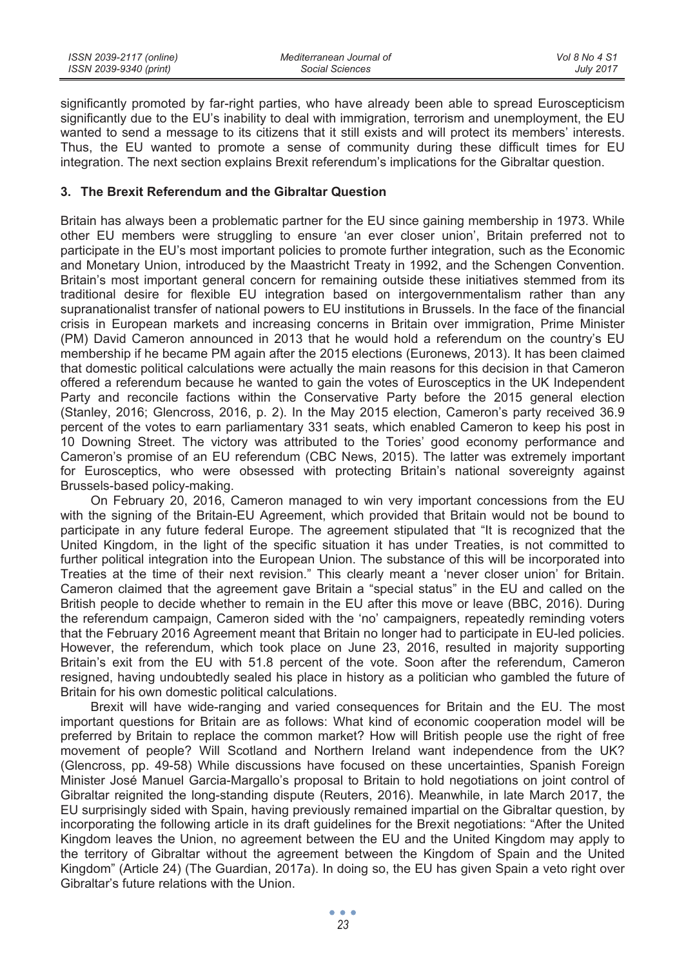| ISSN 2039-2117 (online) | Mediterranean Journal of | Vol 8 No 4 S1    |
|-------------------------|--------------------------|------------------|
| ISSN 2039-9340 (print)  | Social Sciences          | <b>July 2017</b> |

significantly promoted by far-right parties, who have already been able to spread Euroscepticism significantly due to the EU's inability to deal with immigration, terrorism and unemployment, the EU wanted to send a message to its citizens that it still exists and will protect its members' interests. Thus, the EU wanted to promote a sense of community during these difficult times for EU integration. The next section explains Brexit referendum's implications for the Gibraltar question.

#### **3. The Brexit Referendum and the Gibraltar Question**

Britain has always been a problematic partner for the EU since gaining membership in 1973. While other EU members were struggling to ensure 'an ever closer union', Britain preferred not to participate in the EU's most important policies to promote further integration, such as the Economic and Monetary Union, introduced by the Maastricht Treaty in 1992, and the Schengen Convention. Britain's most important general concern for remaining outside these initiatives stemmed from its traditional desire for flexible EU integration based on intergovernmentalism rather than any supranationalist transfer of national powers to EU institutions in Brussels. In the face of the financial crisis in European markets and increasing concerns in Britain over immigration, Prime Minister (PM) David Cameron announced in 2013 that he would hold a referendum on the country's EU membership if he became PM again after the 2015 elections (Euronews, 2013). It has been claimed that domestic political calculations were actually the main reasons for this decision in that Cameron offered a referendum because he wanted to gain the votes of Eurosceptics in the UK Independent Party and reconcile factions within the Conservative Party before the 2015 general election (Stanley, 2016; Glencross, 2016, p. 2). In the May 2015 election, Cameron's party received 36.9 percent of the votes to earn parliamentary 331 seats, which enabled Cameron to keep his post in 10 Downing Street. The victory was attributed to the Tories' good economy performance and Cameron's promise of an EU referendum (CBC News, 2015). The latter was extremely important for Eurosceptics, who were obsessed with protecting Britain's national sovereignty against Brussels-based policy-making.

On February 20, 2016, Cameron managed to win very important concessions from the EU with the signing of the Britain-EU Agreement, which provided that Britain would not be bound to participate in any future federal Europe. The agreement stipulated that "It is recognized that the United Kingdom, in the light of the specific situation it has under Treaties, is not committed to further political integration into the European Union. The substance of this will be incorporated into Treaties at the time of their next revision." This clearly meant a 'never closer union' for Britain. Cameron claimed that the agreement gave Britain a "special status" in the EU and called on the British people to decide whether to remain in the EU after this move or leave (BBC, 2016). During the referendum campaign, Cameron sided with the 'no' campaigners, repeatedly reminding voters that the February 2016 Agreement meant that Britain no longer had to participate in EU-led policies. However, the referendum, which took place on June 23, 2016, resulted in majority supporting Britain's exit from the EU with 51.8 percent of the vote. Soon after the referendum, Cameron resigned, having undoubtedly sealed his place in history as a politician who gambled the future of Britain for his own domestic political calculations.

Brexit will have wide-ranging and varied consequences for Britain and the EU. The most important questions for Britain are as follows: What kind of economic cooperation model will be preferred by Britain to replace the common market? How will British people use the right of free movement of people? Will Scotland and Northern Ireland want independence from the UK? (Glencross, pp. 49-58) While discussions have focused on these uncertainties, Spanish Foreign Minister José Manuel Garcia-Margallo's proposal to Britain to hold negotiations on joint control of Gibraltar reignited the long-standing dispute (Reuters, 2016). Meanwhile, in late March 2017, the EU surprisingly sided with Spain, having previously remained impartial on the Gibraltar question, by incorporating the following article in its draft guidelines for the Brexit negotiations: "After the United Kingdom leaves the Union, no agreement between the EU and the United Kingdom may apply to the territory of Gibraltar without the agreement between the Kingdom of Spain and the United Kingdom" (Article 24) (The Guardian, 2017a). In doing so, the EU has given Spain a veto right over Gibraltar's future relations with the Union.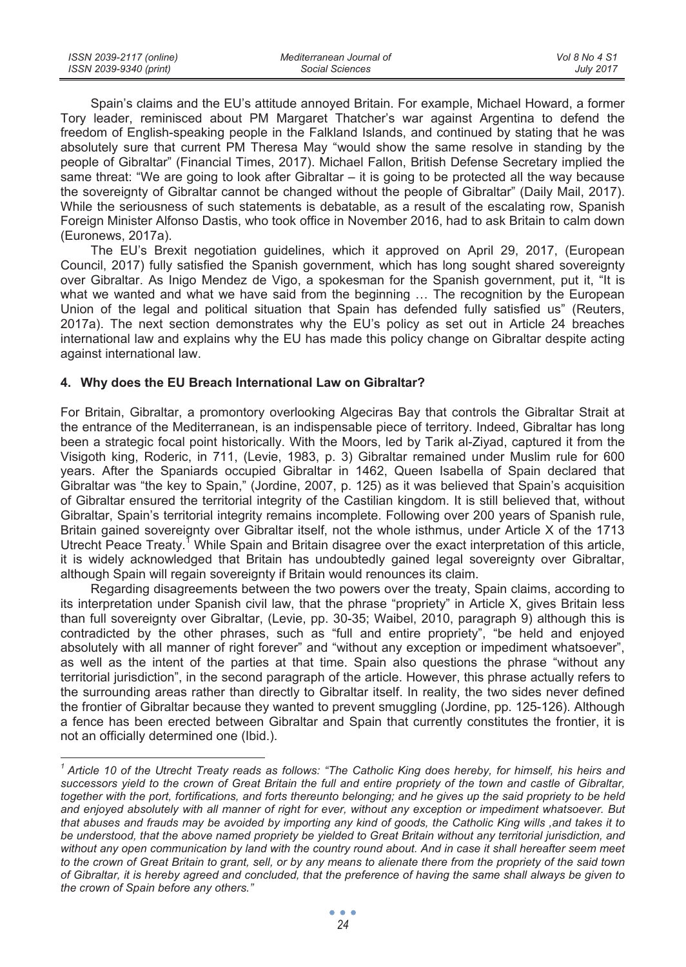| ISSN 2039-2117 (online) | Mediterranean Journal of | Vol 8 No 4 S1    |
|-------------------------|--------------------------|------------------|
| ISSN 2039-9340 (print)  | Social Sciences          | <b>July 2017</b> |

Spain's claims and the EU's attitude annoyed Britain. For example, Michael Howard, a former Tory leader, reminisced about PM Margaret Thatcher's war against Argentina to defend the freedom of English-speaking people in the Falkland Islands, and continued by stating that he was absolutely sure that current PM Theresa May "would show the same resolve in standing by the people of Gibraltar" (Financial Times, 2017). Michael Fallon, British Defense Secretary implied the same threat: "We are going to look after Gibraltar – it is going to be protected all the way because the sovereignty of Gibraltar cannot be changed without the people of Gibraltar" (Daily Mail, 2017). While the seriousness of such statements is debatable, as a result of the escalating row, Spanish Foreign Minister Alfonso Dastis, who took office in November 2016, had to ask Britain to calm down (Euronews, 2017a).

The EU's Brexit negotiation guidelines, which it approved on April 29, 2017, (European Council, 2017) fully satisfied the Spanish government, which has long sought shared sovereignty over Gibraltar. As Inigo Mendez de Vigo, a spokesman for the Spanish government, put it, "It is what we wanted and what we have said from the beginning ... The recognition by the European Union of the legal and political situation that Spain has defended fully satisfied us" (Reuters, 2017a). The next section demonstrates why the EU's policy as set out in Article 24 breaches international law and explains why the EU has made this policy change on Gibraltar despite acting against international law.

#### **4. Why does the EU Breach International Law on Gibraltar?**

For Britain, Gibraltar, a promontory overlooking Algeciras Bay that controls the Gibraltar Strait at the entrance of the Mediterranean, is an indispensable piece of territory. Indeed, Gibraltar has long been a strategic focal point historically. With the Moors, led by Tarik al-Ziyad, captured it from the Visigoth king, Roderic, in 711, (Levie, 1983, p. 3) Gibraltar remained under Muslim rule for 600 years. After the Spaniards occupied Gibraltar in 1462, Queen Isabella of Spain declared that Gibraltar was "the key to Spain," (Jordine, 2007, p. 125) as it was believed that Spain's acquisition of Gibraltar ensured the territorial integrity of the Castilian kingdom. It is still believed that, without Gibraltar, Spain's territorial integrity remains incomplete. Following over 200 years of Spanish rule, Britain gained sovereignty over Gibraltar itself, not the whole isthmus, under Article X of the 1713 Utrecht Peace Treaty.<sup>†</sup> While Spain and Britain disagree over the exact interpretation of this article, it is widely acknowledged that Britain has undoubtedly gained legal sovereignty over Gibraltar, although Spain will regain sovereignty if Britain would renounces its claim.

Regarding disagreements between the two powers over the treaty, Spain claims, according to its interpretation under Spanish civil law, that the phrase "propriety" in Article X, gives Britain less than full sovereignty over Gibraltar, (Levie, pp. 30-35; Waibel, 2010, paragraph 9) although this is contradicted by the other phrases, such as "full and entire propriety", "be held and enjoyed absolutely with all manner of right forever" and "without any exception or impediment whatsoever". as well as the intent of the parties at that time. Spain also questions the phrase "without any territorial jurisdiction", in the second paragraph of the article. However, this phrase actually refers to the surrounding areas rather than directly to Gibraltar itself. In reality, the two sides never defined the frontier of Gibraltar because they wanted to prevent smuggling (Jordine, pp. 125-126). Although a fence has been erected between Gibraltar and Spain that currently constitutes the frontier, it is not an officially determined one (Ibid.).

<sup>&</sup>lt;sup>1</sup> Article 10 of the Utrecht Treaty reads as follows: "The Catholic King does hereby, for himself, his heirs and *successors yield to the crown of Great Britain the full and entire propriety of the town and castle of Gibraltar, together with the port, fortifications, and forts thereunto belonging; and he gives up the said propriety to be held and enjoyed absolutely with all manner of right for ever, without any exception or impediment whatsoever. But that abuses and frauds may be avoided by importing any kind of goods, the Catholic King wills ,and takes it to be understood, that the above named propriety be yielded to Great Britain without any territorial jurisdiction, and*  without any open communication by land with the country round about. And in case it shall hereafter seem meet to the crown of Great Britain to grant, sell, or by any means to alienate there from the propriety of the said town *of Gibraltar, it is hereby agreed and concluded, that the preference of having the same shall always be given to the crown of Spain before any others."*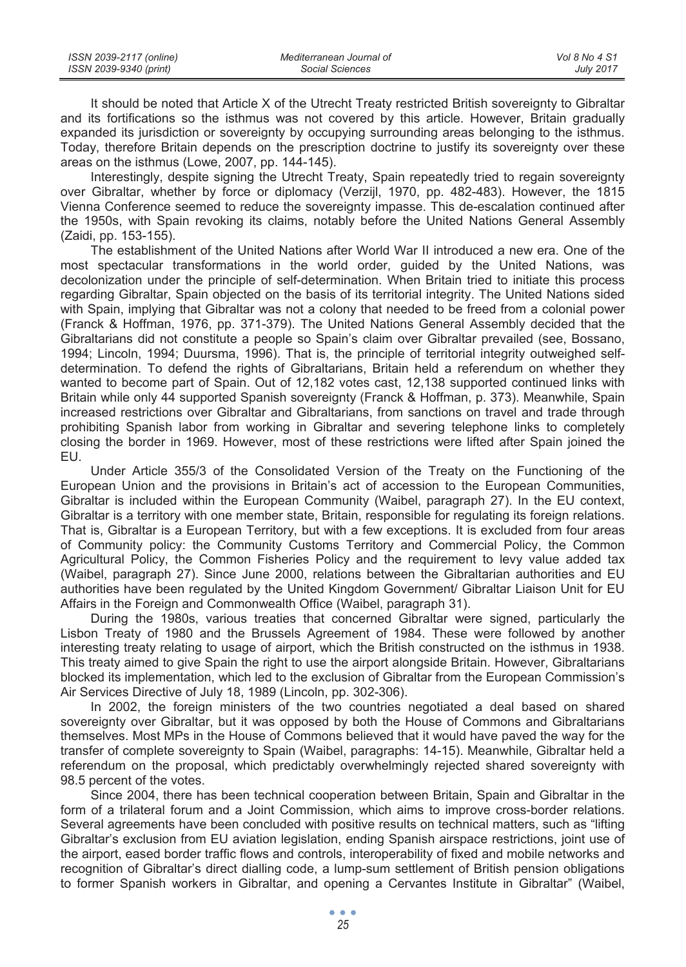| ISSN 2039-2117 (online) | Mediterranean Journal of | Vol 8 No 4 S1    |
|-------------------------|--------------------------|------------------|
| ISSN 2039-9340 (print)  | Social Sciences          | <b>July 2017</b> |

It should be noted that Article X of the Utrecht Treaty restricted British sovereignty to Gibraltar and its fortifications so the isthmus was not covered by this article. However, Britain gradually expanded its jurisdiction or sovereignty by occupying surrounding areas belonging to the isthmus. Today, therefore Britain depends on the prescription doctrine to justify its sovereignty over these areas on the isthmus (Lowe, 2007, pp. 144-145).

Interestingly, despite signing the Utrecht Treaty, Spain repeatedly tried to regain sovereignty over Gibraltar, whether by force or diplomacy (Verzijl, 1970, pp. 482-483). However, the 1815 Vienna Conference seemed to reduce the sovereignty impasse. This de-escalation continued after the 1950s, with Spain revoking its claims, notably before the United Nations General Assembly (Zaidi, pp. 153-155).

The establishment of the United Nations after World War II introduced a new era. One of the most spectacular transformations in the world order, guided by the United Nations, was decolonization under the principle of self-determination. When Britain tried to initiate this process regarding Gibraltar, Spain objected on the basis of its territorial integrity. The United Nations sided with Spain, implying that Gibraltar was not a colony that needed to be freed from a colonial power (Franck & Hoffman, 1976, pp. 371-379). The United Nations General Assembly decided that the Gibraltarians did not constitute a people so Spain's claim over Gibraltar prevailed (see, Bossano, 1994; Lincoln, 1994; Duursma, 1996). That is, the principle of territorial integrity outweighed selfdetermination. To defend the rights of Gibraltarians, Britain held a referendum on whether they wanted to become part of Spain. Out of 12,182 votes cast, 12,138 supported continued links with Britain while only 44 supported Spanish sovereignty (Franck & Hoffman, p. 373). Meanwhile, Spain increased restrictions over Gibraltar and Gibraltarians, from sanctions on travel and trade through prohibiting Spanish labor from working in Gibraltar and severing telephone links to completely closing the border in 1969. However, most of these restrictions were lifted after Spain joined the EU.

Under Article 355/3 of the Consolidated Version of the Treaty on the Functioning of the European Union and the provisions in Britain's act of accession to the European Communities, Gibraltar is included within the European Community (Waibel, paragraph 27). In the EU context, Gibraltar is a territory with one member state, Britain, responsible for regulating its foreign relations. That is, Gibraltar is a European Territory, but with a few exceptions. It is excluded from four areas of Community policy: the Community Customs Territory and Commercial Policy, the Common Agricultural Policy, the Common Fisheries Policy and the requirement to levy value added tax (Waibel, paragraph 27). Since June 2000, relations between the Gibraltarian authorities and EU authorities have been regulated by the United Kingdom Government/ Gibraltar Liaison Unit for EU Affairs in the Foreign and Commonwealth Office (Waibel, paragraph 31).

During the 1980s, various treaties that concerned Gibraltar were signed, particularly the Lisbon Treaty of 1980 and the Brussels Agreement of 1984. These were followed by another interesting treaty relating to usage of airport, which the British constructed on the isthmus in 1938. This treaty aimed to give Spain the right to use the airport alongside Britain. However, Gibraltarians blocked its implementation, which led to the exclusion of Gibraltar from the European Commission's Air Services Directive of July 18, 1989 (Lincoln, pp. 302-306).

In 2002, the foreign ministers of the two countries negotiated a deal based on shared sovereignty over Gibraltar, but it was opposed by both the House of Commons and Gibraltarians themselves. Most MPs in the House of Commons believed that it would have paved the way for the transfer of complete sovereignty to Spain (Waibel, paragraphs: 14-15). Meanwhile, Gibraltar held a referendum on the proposal, which predictably overwhelmingly rejected shared sovereignty with 98.5 percent of the votes.

Since 2004, there has been technical cooperation between Britain, Spain and Gibraltar in the form of a trilateral forum and a Joint Commission, which aims to improve cross-border relations. Several agreements have been concluded with positive results on technical matters, such as "lifting Gibraltar's exclusion from EU aviation legislation, ending Spanish airspace restrictions, joint use of the airport, eased border traffic flows and controls, interoperability of fixed and mobile networks and recognition of Gibraltar's direct dialling code, a lump-sum settlement of British pension obligations to former Spanish workers in Gibraltar, and opening a Cervantes Institute in Gibraltar" (Waibel,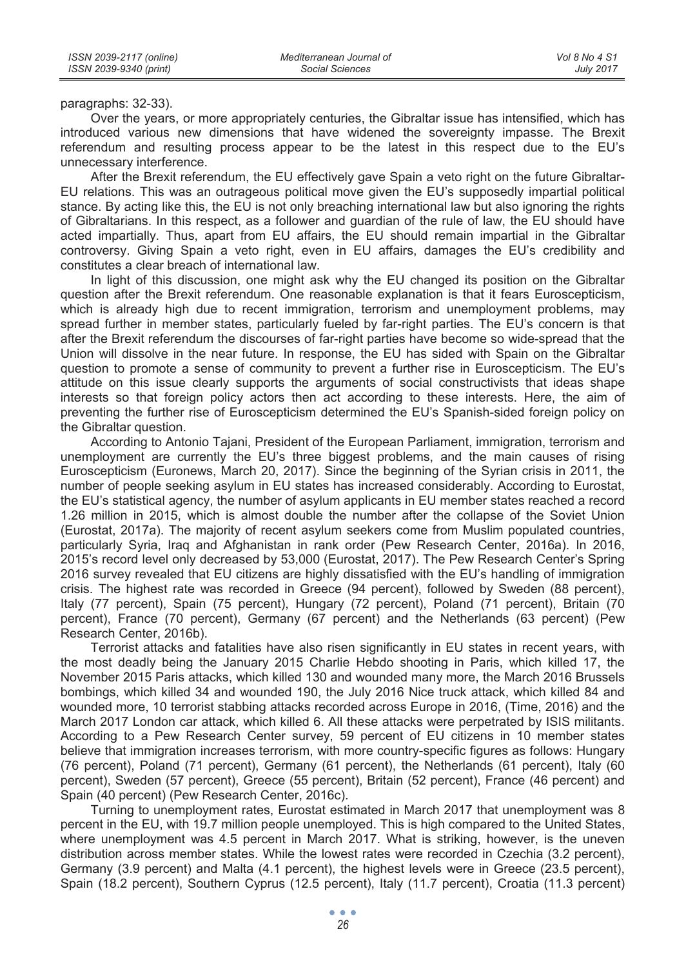paragraphs: 32-33).

Over the years, or more appropriately centuries, the Gibraltar issue has intensified, which has introduced various new dimensions that have widened the sovereignty impasse. The Brexit referendum and resulting process appear to be the latest in this respect due to the EU's unnecessary interference.

After the Brexit referendum, the EU effectively gave Spain a veto right on the future Gibraltar-EU relations. This was an outrageous political move given the EU's supposedly impartial political stance. By acting like this, the EU is not only breaching international law but also ignoring the rights of Gibraltarians. In this respect, as a follower and guardian of the rule of law, the EU should have acted impartially. Thus, apart from EU affairs, the EU should remain impartial in the Gibraltar controversy. Giving Spain a veto right, even in EU affairs, damages the EU's credibility and constitutes a clear breach of international law.

In light of this discussion, one might ask why the EU changed its position on the Gibraltar question after the Brexit referendum. One reasonable explanation is that it fears Euroscepticism, which is already high due to recent immigration, terrorism and unemployment problems, may spread further in member states, particularly fueled by far-right parties. The EU's concern is that after the Brexit referendum the discourses of far-right parties have become so wide-spread that the Union will dissolve in the near future. In response, the EU has sided with Spain on the Gibraltar question to promote a sense of community to prevent a further rise in Euroscepticism. The EU's attitude on this issue clearly supports the arguments of social constructivists that ideas shape interests so that foreign policy actors then act according to these interests. Here, the aim of preventing the further rise of Euroscepticism determined the EU's Spanish-sided foreign policy on the Gibraltar question.

According to Antonio Tajani, President of the European Parliament, immigration, terrorism and unemployment are currently the EU's three biggest problems, and the main causes of rising Euroscepticism (Euronews, March 20, 2017). Since the beginning of the Syrian crisis in 2011, the number of people seeking asylum in EU states has increased considerably. According to Eurostat, the EU's statistical agency, the number of asylum applicants in EU member states reached a record 1.26 million in 2015, which is almost double the number after the collapse of the Soviet Union (Eurostat, 2017a). The majority of recent asylum seekers come from Muslim populated countries, particularly Syria, Iraq and Afghanistan in rank order (Pew Research Center, 2016a). In 2016, 2015's record level only decreased by 53,000 (Eurostat, 2017). The Pew Research Center's Spring 2016 survey revealed that EU citizens are highly dissatisfied with the EU's handling of immigration crisis. The highest rate was recorded in Greece (94 percent), followed by Sweden (88 percent), Italy (77 percent), Spain (75 percent), Hungary (72 percent), Poland (71 percent), Britain (70 percent), France (70 percent), Germany (67 percent) and the Netherlands (63 percent) (Pew Research Center, 2016b).

Terrorist attacks and fatalities have also risen significantly in EU states in recent years, with the most deadly being the January 2015 Charlie Hebdo shooting in Paris, which killed 17, the November 2015 Paris attacks, which killed 130 and wounded many more, the March 2016 Brussels bombings, which killed 34 and wounded 190, the July 2016 Nice truck attack, which killed 84 and wounded more, 10 terrorist stabbing attacks recorded across Europe in 2016, (Time, 2016) and the March 2017 London car attack, which killed 6. All these attacks were perpetrated by ISIS militants. According to a Pew Research Center survey, 59 percent of EU citizens in 10 member states believe that immigration increases terrorism, with more country-specific figures as follows: Hungary (76 percent), Poland (71 percent), Germany (61 percent), the Netherlands (61 percent), Italy (60 percent), Sweden (57 percent), Greece (55 percent), Britain (52 percent), France (46 percent) and Spain (40 percent) (Pew Research Center, 2016c).

Turning to unemployment rates, Eurostat estimated in March 2017 that unemployment was 8 percent in the EU, with 19.7 million people unemployed. This is high compared to the United States, where unemployment was 4.5 percent in March 2017. What is striking, however, is the uneven distribution across member states. While the lowest rates were recorded in Czechia (3.2 percent), Germany (3.9 percent) and Malta (4.1 percent), the highest levels were in Greece (23.5 percent), Spain (18.2 percent), Southern Cyprus (12.5 percent), Italy (11.7 percent), Croatia (11.3 percent)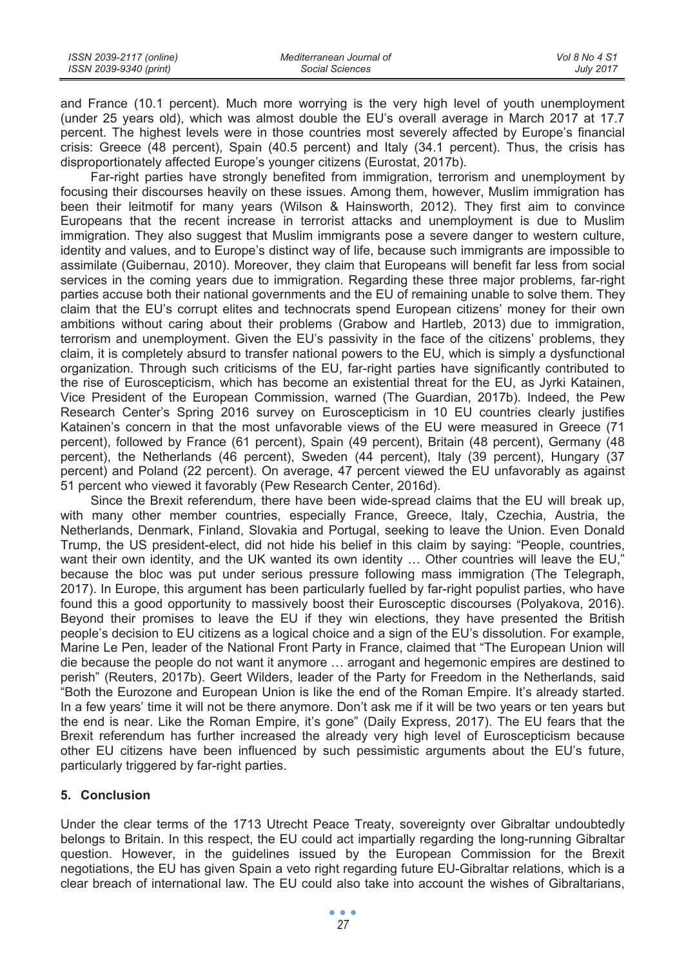| ISSN 2039-2117 (online) | Mediterranean Journal of | Vol 8 No 4 S1    |
|-------------------------|--------------------------|------------------|
| ISSN 2039-9340 (print)  | Social Sciences          | <b>July 2017</b> |

and France (10.1 percent). Much more worrying is the very high level of youth unemployment (under 25 years old), which was almost double the EU's overall average in March 2017 at 17.7 percent. The highest levels were in those countries most severely affected by Europe's financial crisis: Greece (48 percent), Spain (40.5 percent) and Italy (34.1 percent). Thus, the crisis has disproportionately affected Europe's younger citizens (Eurostat, 2017b).

Far-right parties have strongly benefited from immigration, terrorism and unemployment by focusing their discourses heavily on these issues. Among them, however, Muslim immigration has been their leitmotif for many years (Wilson & Hainsworth, 2012). They first aim to convince Europeans that the recent increase in terrorist attacks and unemployment is due to Muslim immigration. They also suggest that Muslim immigrants pose a severe danger to western culture, identity and values, and to Europe's distinct way of life, because such immigrants are impossible to assimilate (Guibernau, 2010). Moreover, they claim that Europeans will benefit far less from social services in the coming years due to immigration. Regarding these three major problems, far-right parties accuse both their national governments and the EU of remaining unable to solve them. They claim that the EU's corrupt elites and technocrats spend European citizens' money for their own ambitions without caring about their problems (Grabow and Hartleb, 2013) due to immigration, terrorism and unemployment. Given the EU's passivity in the face of the citizens' problems, they claim, it is completely absurd to transfer national powers to the EU, which is simply a dysfunctional organization. Through such criticisms of the EU, far-right parties have significantly contributed to the rise of Euroscepticism, which has become an existential threat for the EU, as Jyrki Katainen, Vice President of the European Commission, warned (The Guardian, 2017b). Indeed, the Pew Research Center's Spring 2016 survey on Euroscepticism in 10 EU countries clearly justifies Katainen's concern in that the most unfavorable views of the EU were measured in Greece (71 percent), followed by France (61 percent), Spain (49 percent), Britain (48 percent), Germany (48 percent), the Netherlands (46 percent), Sweden (44 percent), Italy (39 percent), Hungary (37 percent) and Poland (22 percent). On average, 47 percent viewed the EU unfavorably as against 51 percent who viewed it favorably (Pew Research Center, 2016d).

Since the Brexit referendum, there have been wide-spread claims that the EU will break up, with many other member countries, especially France, Greece, Italy, Czechia, Austria, the Netherlands, Denmark, Finland, Slovakia and Portugal, seeking to leave the Union. Even Donald Trump, the US president-elect, did not hide his belief in this claim by saying: "People, countries, want their own identity, and the UK wanted its own identity ... Other countries will leave the EU," because the bloc was put under serious pressure following mass immigration (The Telegraph, 2017). In Europe, this argument has been particularly fuelled by far-right populist parties, who have found this a good opportunity to massively boost their Eurosceptic discourses (Polyakova, 2016). Beyond their promises to leave the EU if they win elections, they have presented the British people's decision to EU citizens as a logical choice and a sign of the EU's dissolution. For example, Marine Le Pen, leader of the National Front Party in France, claimed that "The European Union will die because the people do not want it anymore … arrogant and hegemonic empires are destined to perish" (Reuters, 2017b). Geert Wilders, leader of the Party for Freedom in the Netherlands, said "Both the Eurozone and European Union is like the end of the Roman Empire. It's already started. In a few years' time it will not be there anymore. Don't ask me if it will be two years or ten years but the end is near. Like the Roman Empire, it's gone" (Daily Express, 2017). The EU fears that the Brexit referendum has further increased the already very high level of Euroscepticism because other EU citizens have been influenced by such pessimistic arguments about the EU's future, particularly triggered by far-right parties.

### **5. Conclusion**

Under the clear terms of the 1713 Utrecht Peace Treaty, sovereignty over Gibraltar undoubtedly belongs to Britain. In this respect, the EU could act impartially regarding the long-running Gibraltar question. However, in the guidelines issued by the European Commission for the Brexit negotiations, the EU has given Spain a veto right regarding future EU-Gibraltar relations, which is a clear breach of international law. The EU could also take into account the wishes of Gibraltarians,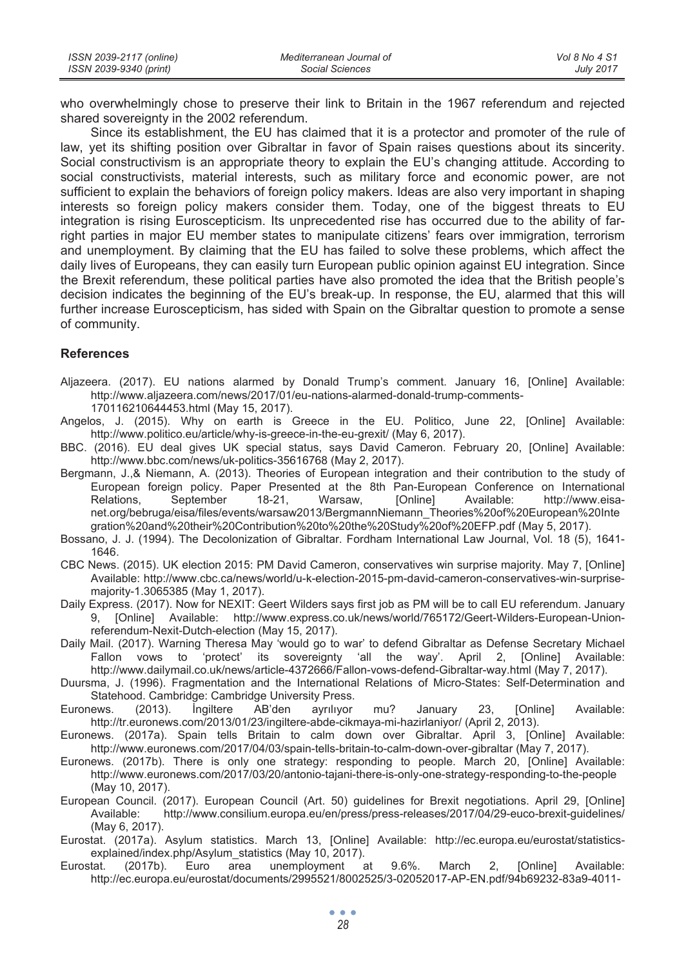| ISSN 2039-2117 (online) | Mediterranean Journal of | Vol 8 No 4 S1    |
|-------------------------|--------------------------|------------------|
| ISSN 2039-9340 (print)  | Social Sciences          | <b>July 2017</b> |

who overwhelmingly chose to preserve their link to Britain in the 1967 referendum and rejected shared sovereignty in the 2002 referendum.

Since its establishment, the EU has claimed that it is a protector and promoter of the rule of law, yet its shifting position over Gibraltar in favor of Spain raises questions about its sincerity. Social constructivism is an appropriate theory to explain the EU's changing attitude. According to social constructivists, material interests, such as military force and economic power, are not sufficient to explain the behaviors of foreign policy makers. Ideas are also very important in shaping interests so foreign policy makers consider them. Today, one of the biggest threats to EU integration is rising Euroscepticism. Its unprecedented rise has occurred due to the ability of farright parties in major EU member states to manipulate citizens' fears over immigration, terrorism and unemployment. By claiming that the EU has failed to solve these problems, which affect the daily lives of Europeans, they can easily turn European public opinion against EU integration. Since the Brexit referendum, these political parties have also promoted the idea that the British people's decision indicates the beginning of the EU's break-up. In response, the EU, alarmed that this will further increase Euroscepticism, has sided with Spain on the Gibraltar question to promote a sense of community.

#### **References**

- Aljazeera. (2017). EU nations alarmed by Donald Trump's comment. January 16, [Online] Available: http://www.aljazeera.com/news/2017/01/eu-nations-alarmed-donald-trump-comments-
	- 170116210644453.html (May 15, 2017).
- Angelos, J. (2015). Why on earth is Greece in the EU. Politico, June 22, [Online] Available: http://www.politico.eu/article/why-is-greece-in-the-eu-grexit/ (May 6, 2017).
- BBC. (2016). EU deal gives UK special status, says David Cameron. February 20, [Online] Available: http://www.bbc.com/news/uk-politics-35616768 (May 2, 2017).
- Bergmann, J.,& Niemann, A. (2013). Theories of European integration and their contribution to the study of European foreign policy. Paper Presented at the 8th Pan-European Conference on International Relations, September 18-21, Warsaw, [Online] Available: http://www.eisanet.org/bebruga/eisa/files/events/warsaw2013/BergmannNiemann\_Theories%20of%20European%20Inte gration%20and%20their%20Contribution%20to%20the%20Study%20of%20EFP.pdf (May 5, 2017).
- Bossano, J. J. (1994). The Decolonization of Gibraltar. Fordham International Law Journal, Vol. 18 (5), 1641- 1646.
- CBC News. (2015). UK election 2015: PM David Cameron, conservatives win surprise majority. May 7, [Online] Available: http://www.cbc.ca/news/world/u-k-election-2015-pm-david-cameron-conservatives-win-surprisemajority-1.3065385 (May 1, 2017).
- Daily Express. (2017). Now for NEXIT: Geert Wilders says first job as PM will be to call EU referendum. January 9, [Online] Available: http://www.express.co.uk/news/world/765172/Geert-Wilders-European-Unionreferendum-Nexit-Dutch-election (May 15, 2017).
- Daily Mail. (2017). Warning Theresa May 'would go to war' to defend Gibraltar as Defense Secretary Michael Fallon vows to 'protect' its sovereignty 'all the way'. April 2, [Online] Available: http://www.dailymail.co.uk/news/article-4372666/Fallon-vows-defend-Gibraltar-way.html (May 7, 2017).
- Duursma, J. (1996). Fragmentation and the International Relations of Micro-States: Self-Determination and Statehood. Cambridge: Cambridge University Press.
- Euronews. (2013). İngiltere AB'den ayrılıyor mu? January 23, [Online] Available: http://tr.euronews.com/2013/01/23/ingiltere-abde-cikmaya-mi-hazirlaniyor/ (April 2, 2013).
- Euronews. (2017a). Spain tells Britain to calm down over Gibraltar. April 3, [Online] Available: http://www.euronews.com/2017/04/03/spain-tells-britain-to-calm-down-over-gibraltar (May 7, 2017).
- Euronews. (2017b). There is only one strategy: responding to people. March 20, [Online] Available: http://www.euronews.com/2017/03/20/antonio-tajani-there-is-only-one-strategy-responding-to-the-people (May 10, 2017).
- European Council. (2017). European Council (Art. 50) guidelines for Brexit negotiations. April 29, [Online] Available: http://www.consilium.europa.eu/en/press/press-releases/2017/04/29-euco-brexit-guidelines/ (May 6, 2017).
- Eurostat. (2017a). Asylum statistics. March 13, [Online] Available: http://ec.europa.eu/eurostat/statisticsexplained/index.php/Asylum\_statistics (May 10, 2017).
- Eurostat. (2017b). Euro area unemployment at 9.6%. March 2, [Online] Available: http://ec.europa.eu/eurostat/documents/2995521/8002525/3-02052017-AP-EN.pdf/94b69232-83a9-4011-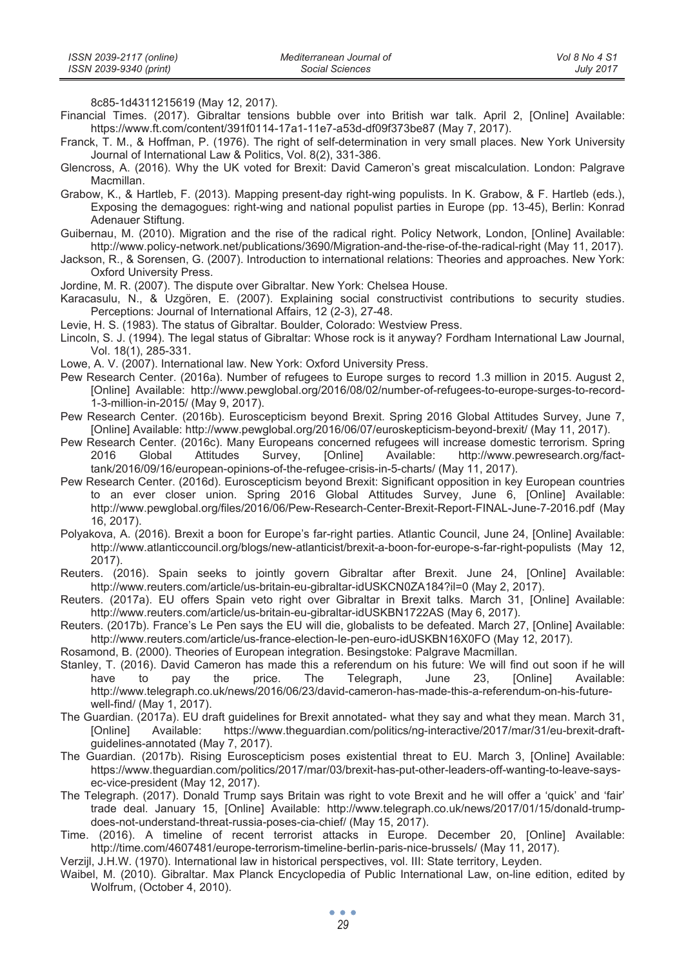8c85-1d4311215619 (May 12, 2017).

- Financial Times. (2017). Gibraltar tensions bubble over into British war talk. April 2, [Online] Available: https://www.ft.com/content/391f0114-17a1-11e7-a53d-df09f373be87 (May 7, 2017).
- Franck, T. M., & Hoffman, P. (1976). The right of self-determination in very small places. New York University Journal of International Law & Politics, Vol. 8(2), 331-386.
- Glencross, A. (2016). Why the UK voted for Brexit: David Cameron's great miscalculation. London: Palgrave **Macmillan**
- Grabow, K., & Hartleb, F. (2013). Mapping present-day right-wing populists. In K. Grabow, & F. Hartleb (eds.), Exposing the demagogues: right-wing and national populist parties in Europe (pp. 13-45), Berlin: Konrad Adenauer Stiftung.
- Guibernau, M. (2010). Migration and the rise of the radical right. Policy Network, London, [Online] Available: http://www.policy-network.net/publications/3690/Migration-and-the-rise-of-the-radical-right (May 11, 2017).
- Jackson, R., & Sorensen, G. (2007). Introduction to international relations: Theories and approaches. New York: Oxford University Press.

Jordine, M. R. (2007). The dispute over Gibraltar. New York: Chelsea House.

- Karacasulu, N., & Uzgören, E. (2007). Explaining social constructivist contributions to security studies. Perceptions: Journal of International Affairs, 12 (2-3), 27-48.
- Levie, H. S. (1983). The status of Gibraltar. Boulder, Colorado: Westview Press.
- Lincoln, S. J. (1994). The legal status of Gibraltar: Whose rock is it anyway? Fordham International Law Journal, Vol. 18(1), 285-331.
- Lowe, A. V. (2007). International law. New York: Oxford University Press.
- Pew Research Center. (2016a). Number of refugees to Europe surges to record 1.3 million in 2015. August 2, [Online] Available: http://www.pewglobal.org/2016/08/02/number-of-refugees-to-europe-surges-to-record-1-3-million-in-2015/ (May 9, 2017).
- Pew Research Center. (2016b). Euroscepticism beyond Brexit. Spring 2016 Global Attitudes Survey, June 7, [Online] Available: http://www.pewglobal.org/2016/06/07/euroskepticism-beyond-brexit/ (May 11, 2017).
- Pew Research Center. (2016c). Many Europeans concerned refugees will increase domestic terrorism. Spring 2016 Global Attitudes Survey, [Online] Available: http://www.pewresearch.org/facttank/2016/09/16/european-opinions-of-the-refugee-crisis-in-5-charts/ (May 11, 2017).
- Pew Research Center. (2016d). Euroscepticism beyond Brexit: Significant opposition in key European countries to an ever closer union. Spring 2016 Global Attitudes Survey, June 6, [Online] Available: http://www.pewglobal.org/files/2016/06/Pew-Research-Center-Brexit-Report-FINAL-June-7-2016.pdf (May 16, 2017).
- Polyakova, A. (2016). Brexit a boon for Europe's far-right parties. Atlantic Council, June 24, [Online] Available: http://www.atlanticcouncil.org/blogs/new-atlanticist/brexit-a-boon-for-europe-s-far-right-populists (May 12, 2017).
- Reuters. (2016). Spain seeks to jointly govern Gibraltar after Brexit. June 24, [Online] Available: http://www.reuters.com/article/us-britain-eu-gibraltar-idUSKCN0ZA184?il=0 (May 2, 2017).
- Reuters. (2017a). EU offers Spain veto right over Gibraltar in Brexit talks. March 31, [Online] Available: http://www.reuters.com/article/us-britain-eu-gibraltar-idUSKBN1722AS (May 6, 2017).
- Reuters. (2017b). France's Le Pen says the EU will die, globalists to be defeated. March 27, [Online] Available: http://www.reuters.com/article/us-france-election-le-pen-euro-idUSKBN16X0FO (May 12, 2017).
- Rosamond, B. (2000). Theories of European integration. Besingstoke: Palgrave Macmillan.
- Stanley, T. (2016). David Cameron has made this a referendum on his future: We will find out soon if he will have to pay the price. The Telegraph, June 23, [Online] Available: http://www.telegraph.co.uk/news/2016/06/23/david-cameron-has-made-this-a-referendum-on-his-futurewell-find/ (May 1, 2017).
- The Guardian. (2017a). EU draft guidelines for Brexit annotated- what they say and what they mean. March 31, [Online] Available: https://www.theguardian.com/politics/ng-interactive/2017/mar/31/eu-brexit-draftguidelines-annotated (May 7, 2017).
- The Guardian. (2017b). Rising Euroscepticism poses existential threat to EU. March 3, [Online] Available: https://www.theguardian.com/politics/2017/mar/03/brexit-has-put-other-leaders-off-wanting-to-leave-saysec-vice-president (May 12, 2017).
- The Telegraph. (2017). Donald Trump says Britain was right to vote Brexit and he will offer a 'quick' and 'fair' trade deal. January 15, [Online] Available: http://www.telegraph.co.uk/news/2017/01/15/donald-trumpdoes-not-understand-threat-russia-poses-cia-chief/ (May 15, 2017).
- Time. (2016). A timeline of recent terrorist attacks in Europe. December 20, [Online] Available: http://time.com/4607481/europe-terrorism-timeline-berlin-paris-nice-brussels/ (May 11, 2017).
- Verzijl, J.H.W. (1970). International law in historical perspectives, vol. III: State territory, Leyden.
- Waibel, M. (2010). Gibraltar. Max Planck Encyclopedia of Public International Law, on-line edition, edited by Wolfrum, (October 4, 2010).